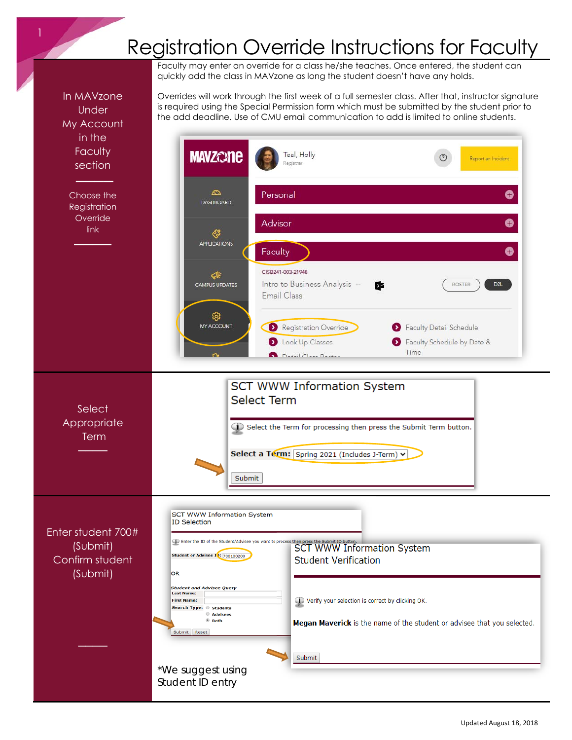## Registration Override Instructions for Faculty

Faculty may enter an override for a class he/she teaches. Once entered, the student can quickly add the class in MAVzone as long the student doesn't have any holds.

In MAVzone Under

Overrides will work through the first week of a full semester class. After that, instructor signature is required using the Special Permission form which must be submitted by the student prior to the add deadline. Use of CMU email communication to add is limited to online students.